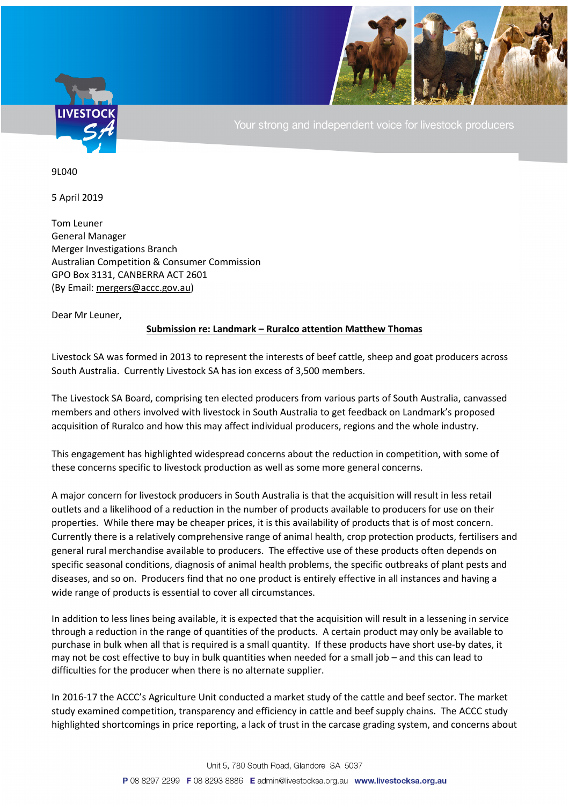

Your strong and independent voice for livestock producers

9L040

5 April 2019

Tom Leuner General Manager Merger Investigations Branch Australian Competition & Consumer Commission GPO Box 3131, CANBERRA ACT 2601 (By Email[: mergers@accc.gov.au\)](mailto:mergers@accc.gov.au)

Dear Mr Leuner,

## **Submission re: Landmark – Ruralco attention Matthew Thomas**

Livestock SA was formed in 2013 to represent the interests of beef cattle, sheep and goat producers across South Australia. Currently Livestock SA has ion excess of 3,500 members.

The Livestock SA Board, comprising ten elected producers from various parts of South Australia, canvassed members and others involved with livestock in South Australia to get feedback on Landmark's proposed acquisition of Ruralco and how this may affect individual producers, regions and the whole industry.

This engagement has highlighted widespread concerns about the reduction in competition, with some of these concerns specific to livestock production as well as some more general concerns.

A major concern for livestock producers in South Australia is that the acquisition will result in less retail outlets and a likelihood of a reduction in the number of products available to producers for use on their properties. While there may be cheaper prices, it is this availability of products that is of most concern. Currently there is a relatively comprehensive range of animal health, crop protection products, fertilisers and general rural merchandise available to producers. The effective use of these products often depends on specific seasonal conditions, diagnosis of animal health problems, the specific outbreaks of plant pests and diseases, and so on. Producers find that no one product is entirely effective in all instances and having a wide range of products is essential to cover all circumstances.

In addition to less lines being available, it is expected that the acquisition will result in a lessening in service through a reduction in the range of quantities of the products. A certain product may only be available to purchase in bulk when all that is required is a small quantity. If these products have short use-by dates, it may not be cost effective to buy in bulk quantities when needed for a small job – and this can lead to difficulties for the producer when there is no alternate supplier.

In 2016-17 the ACCC's Agriculture Unit conducted a market study of the cattle and beef sector. The market study examined competition, transparency and efficiency in cattle and beef supply chains. The ACCC study highlighted shortcomings in price reporting, a lack of trust in the carcase grading system, and concerns about